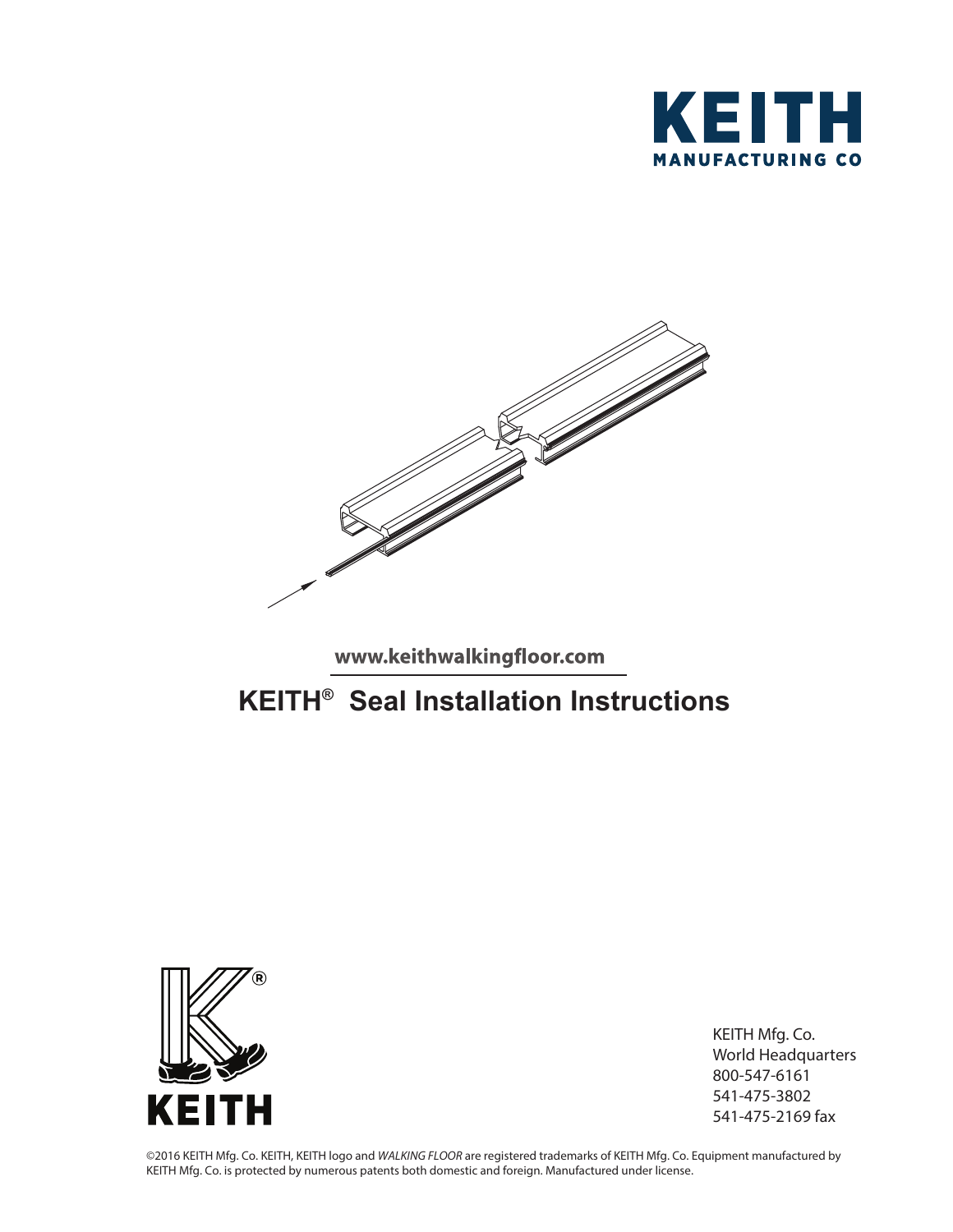



www.keithwalkingfloor.com

## **KEITH® Seal Installation Instructions**



KEITH Mfg. Co. World Headquarters 800-547-6161 541-475-3802 541-475-2169 fax

©2016 KEITH Mfg. Co. KEITH, KEITH logo and *WALKING FLOOR* are registered trademarks of KEITH Mfg. Co. Equipment manufactured by KEITH Mfg. Co. is protected by numerous patents both domestic and foreign. Manufactured under license.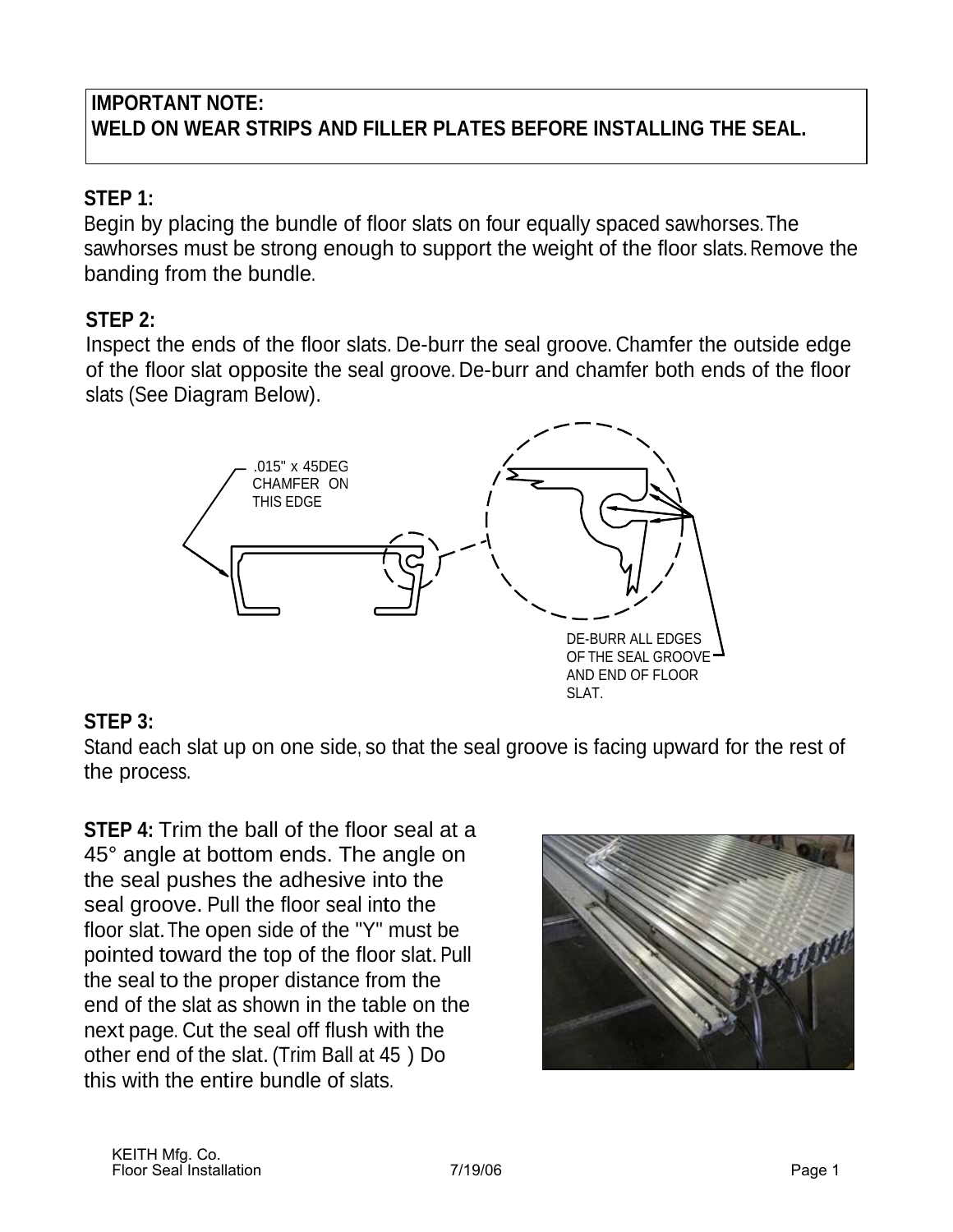### **IMPORTANT NOTE: WELD ON WEAR STRIPS AND FILLER PLATES BEFORE INSTALLING THE SEAL.**

### **STEP 1:**

Begin by placing the bundle of floor slats on four equally spaced sawhorses. The sawhorses must be strong enough to support the weight of the floor slats. Remove the banding from the bundle.

### **STEP 2:**

Inspect the ends of the floor slats. De-burr the seal groove. Chamfer the outside edge of the floor slat opposite the seal groove. De-burr and chamfer both ends of the floor slats (See Diagram Below).



### **STEP 3:**

Stand each slat up on one side, so that the seal groove is facing upward for the rest of the process.

**STEP 4:** Trim the ball of the floor seal at a 45° angle at bottom ends. The angle on the seal pushes the adhesive into the seal groove. Pull the floor seal into the floor slat. The open side of the "Y" must be pointed toward the top of the floor slat. Pull the seal to the proper distance from the end of the slat as shown in the table on the next page. Cut the seal off flush with the other end of the slat. (Trim Ball at 45 ) Do this with the entire bundle of slats.

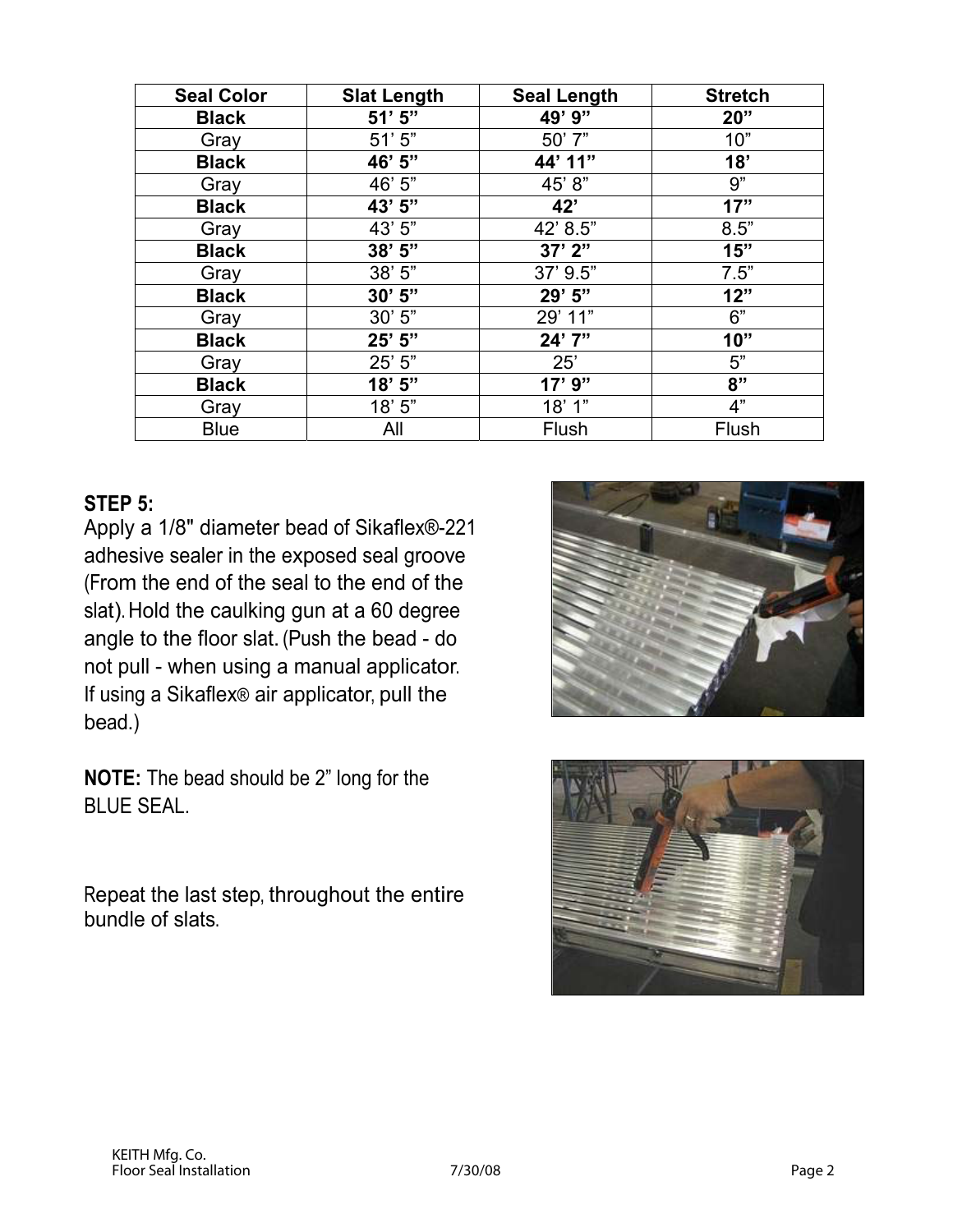| <b>Seal Color</b> | <b>Slat Length</b> | <b>Seal Length</b> | <b>Stretch</b> |
|-------------------|--------------------|--------------------|----------------|
| <b>Black</b>      | $51'$ $5"$         | 49' 9"             | 20"            |
| Gray              | 51'5"              | 50' 7"             | 10"            |
| <b>Black</b>      | 46' 5"             | 44' 11"            | 18'            |
| Gray              | 46' 5"             | 45' 8"             | 9"             |
| <b>Black</b>      | 43' 5"             | 42'                | 17"            |
| Gray              | 43' 5"             | 42' 8.5"           | 8.5"           |
| <b>Black</b>      | $38'$ 5"           | 37'2''             | 15"            |
| Gray              | 38'5''             | 37' 9.5"           | 7.5"           |
| <b>Black</b>      | 30'5"              | 29' 5"             | 12"            |
| Gray              | 30'5"              | 29' 11"            | 6"             |
| <b>Black</b>      | 25' 5"             | 24' 7"             | 10"            |
| Gray              | 25' 5"             | 25'                | 5"             |
| <b>Black</b>      | 18'5''             | $17'$ $9''$        | 8"             |
| Gray              | 18'5''             | 18'1"              | 4"             |
| <b>Blue</b>       | All                | Flush              | Flush          |

### **STEP 5:**

Apply a 1/8" diameter bead of Sikaflex®-221 adhesive sealer in the exposed seal groove (From the end of the seal to the end of the slat). Hold the caulking gun at a 60 degree angle to the floor slat. (Push the bead - do not pull - when using a manual applicator. If using a Sikaflex® air applicator, pull the bead.)

**NOTE:** The bead should be 2" long for the BLUE SEAL.

Repeat the last step, throughout the entire bundle of slats.



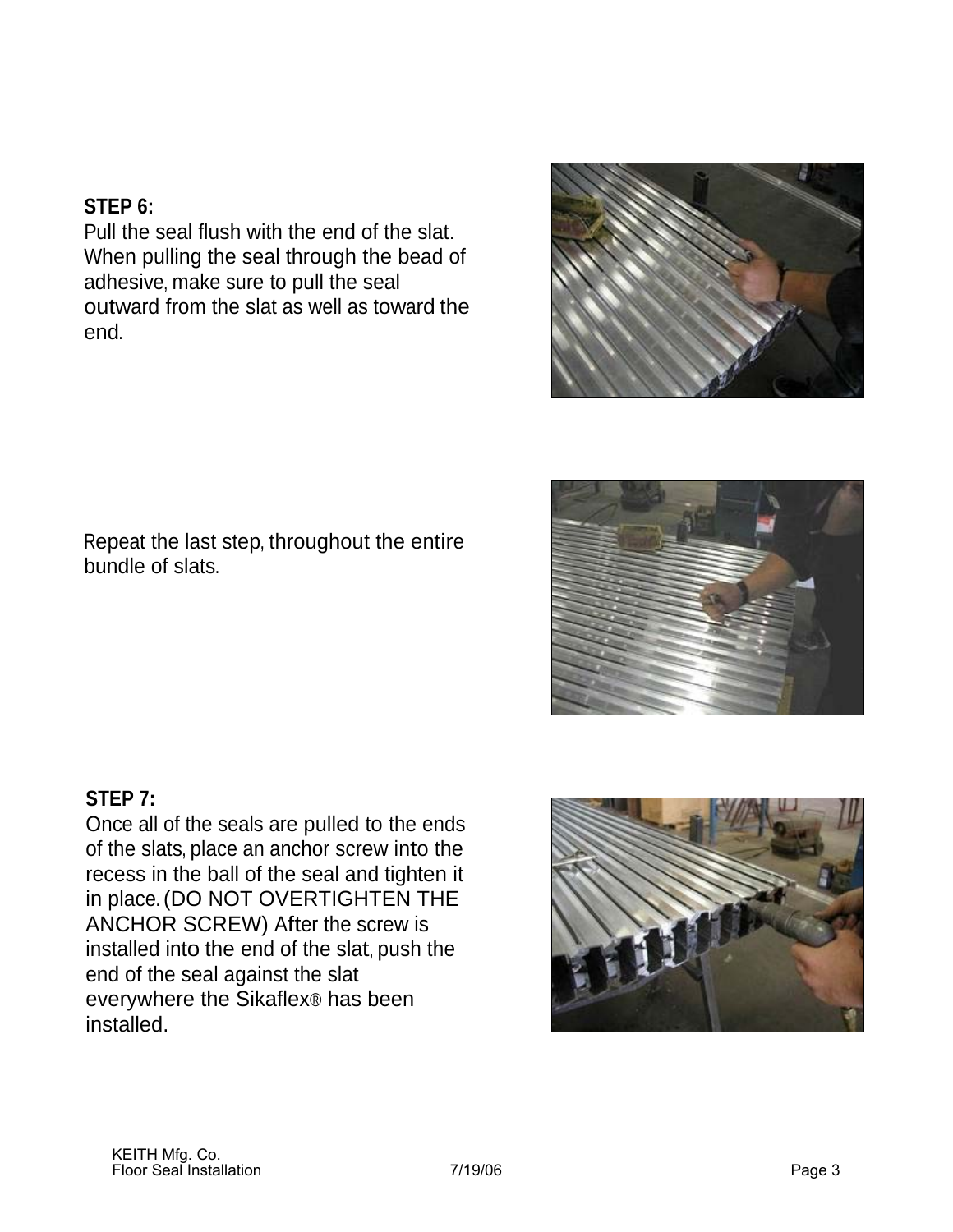### **STEP 6:**

Pull the seal flush with the end of the slat. When pulling the seal through the bead of adhesive, make sure to pull the seal outward from the slat as well as toward the end.



Repeat the last step, throughout the entire bundle of slats.



### **STEP 7:**

Once all of the seals are pulled to the ends of the slats, place an anchor screw into the recess in the ball of the seal and tighten it in place. (DO NOT OVERTIGHTEN THE ANCHOR SCREW) After the screw is installed into the end of the slat, push the end of the seal against the slat everywhere the Sikaflex® has been installed.

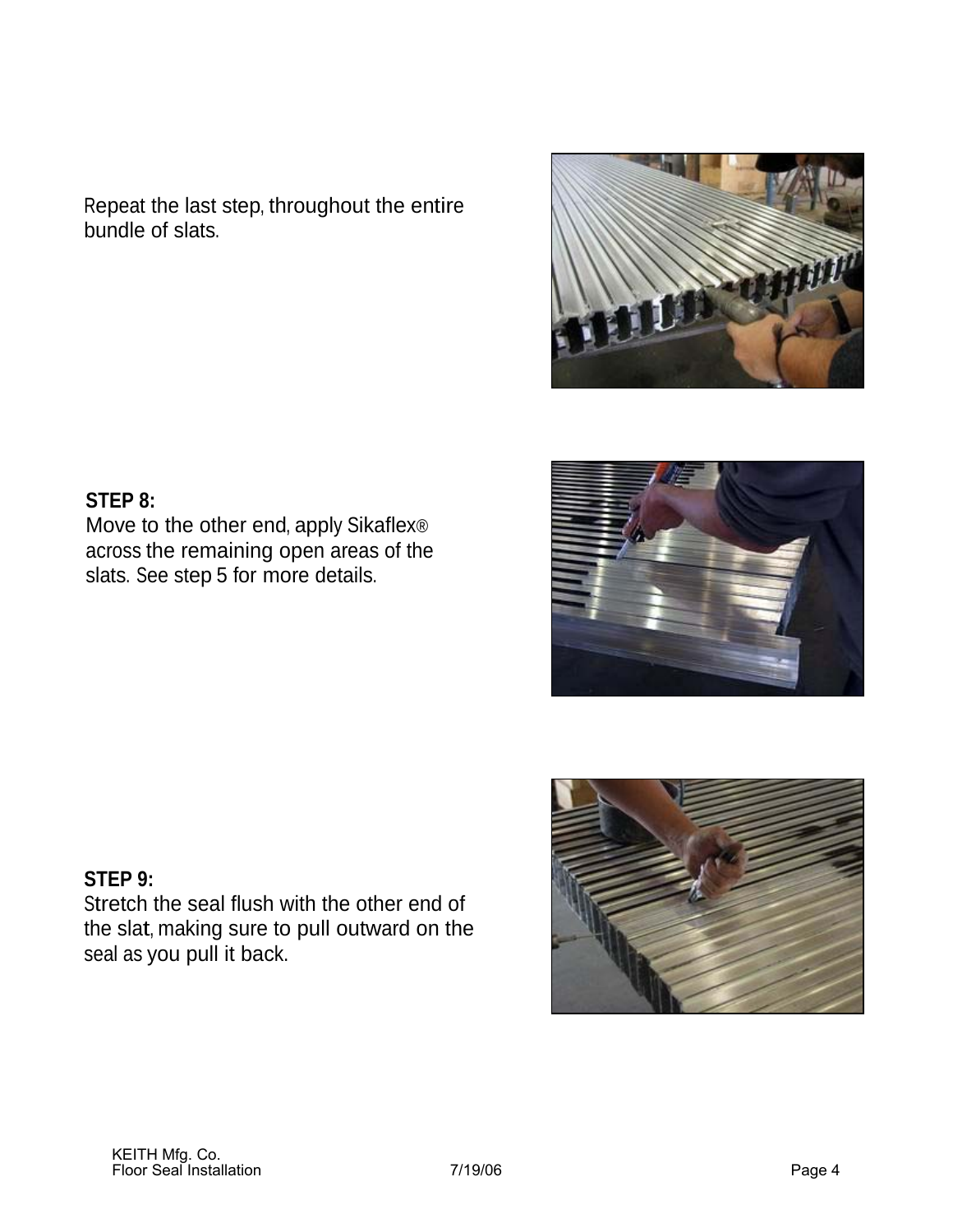Repeat the last step, throughout the entire bundle of slats.

### **STEP 8:**

Move to the other end, apply Sikaflex® across the remaining open areas of the slats. See step 5 for more details.

### **STEP 9:**

Stretch the seal flush with the other end of the slat, making sure to pull outward on the seal as you pull it back.





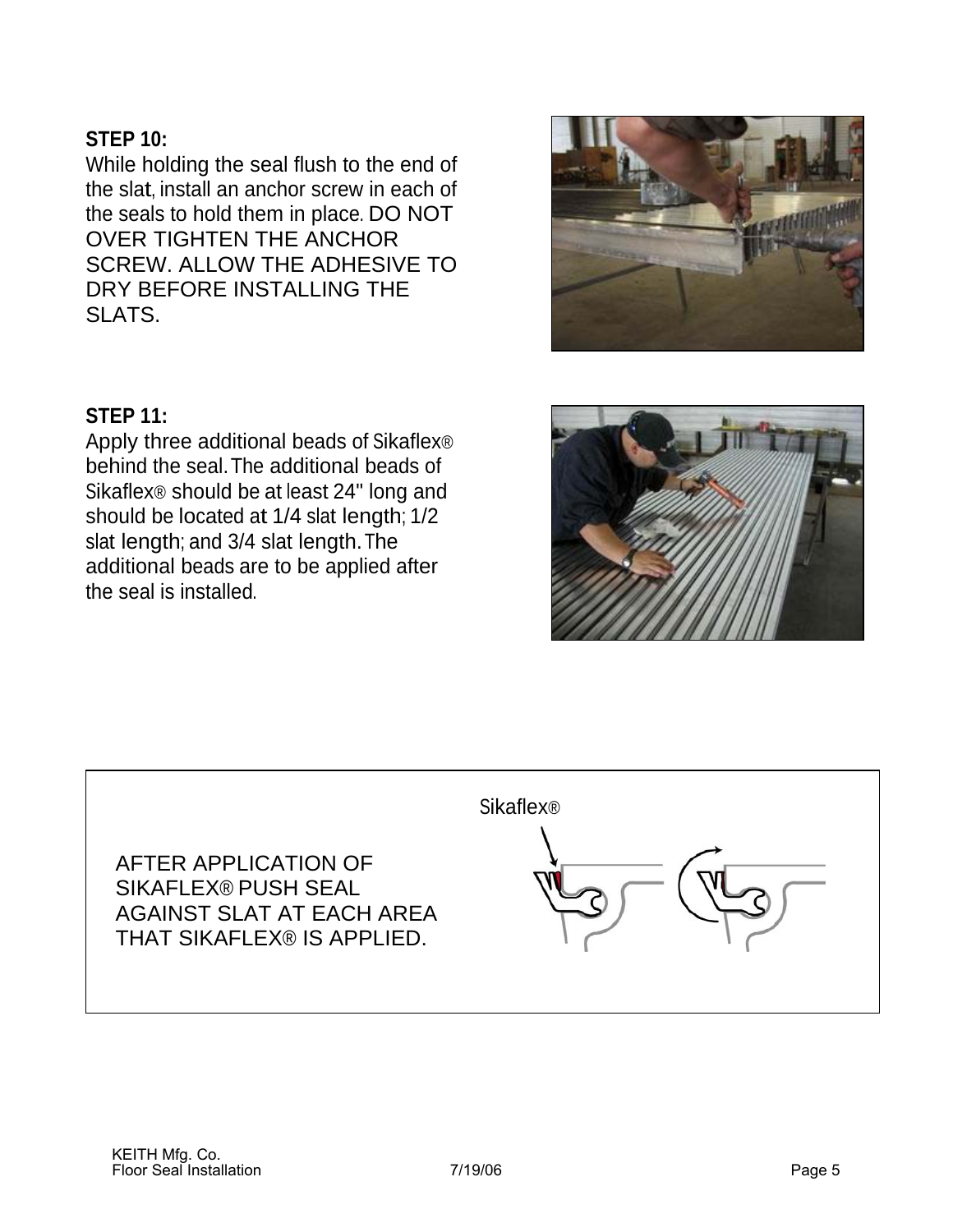### **STEP 10:**

While holding the seal flush to the end of the slat, install an anchor screw in each of the seals to hold them in place. DO NOT OVER TIGHTEN THE ANCHOR SCREW. ALLOW THE ADHESIVE TO DRY BEFORE INSTALLING THE SLATS.



### **STEP 11:**

Apply three additional beads of Sikaflex® behind the seal.The additional beads of Sikaflex® should be at least 24" long and should be located at 1/4 slat length; 1/2 slat length; and 3/4 slat length. The additional beads are to be applied after the seal is installed.



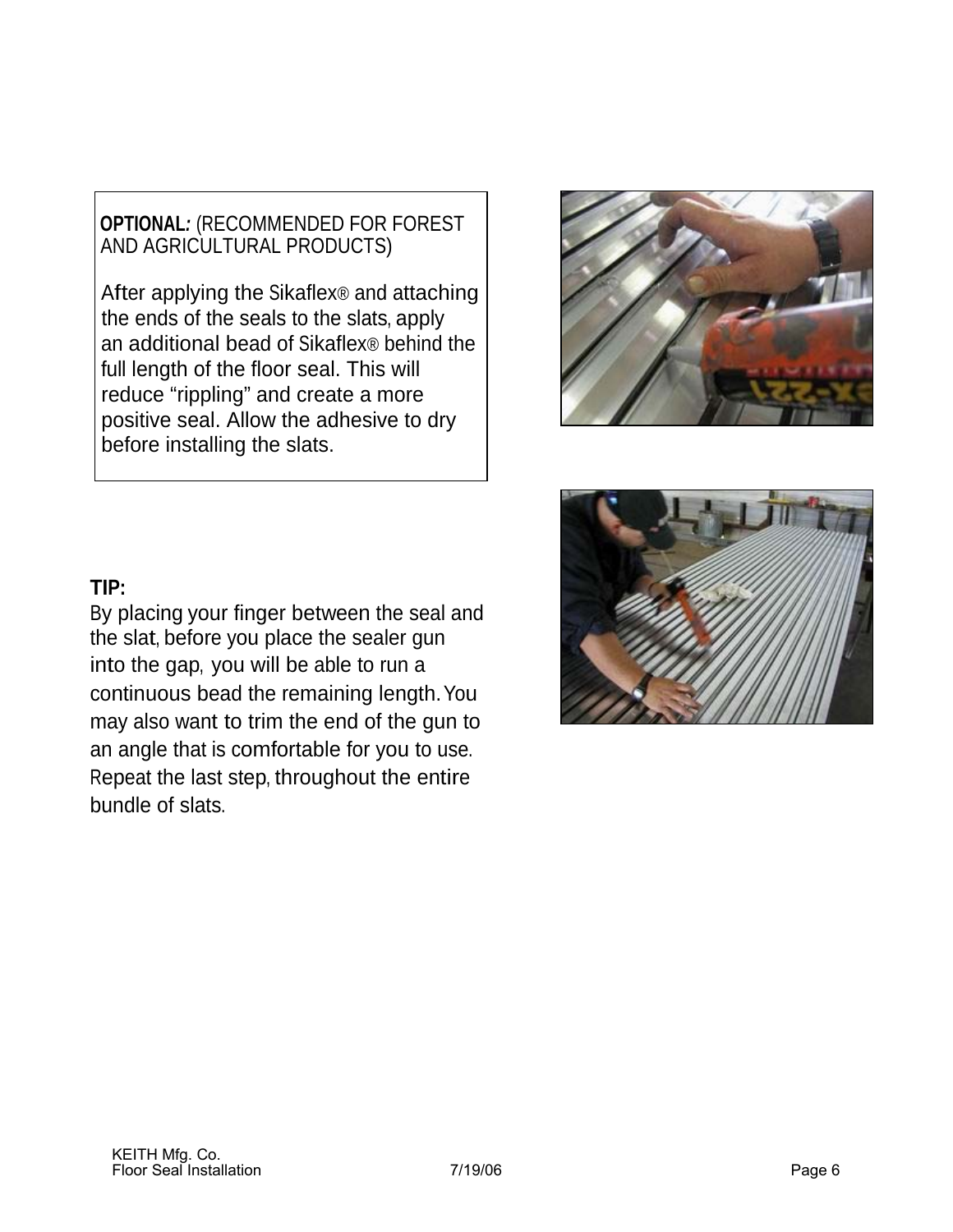**OPTIONAL***:* (RECOMMENDED FOR FOREST AND AGRICULTURAL PRODUCTS)

 After applying the Sikaflex® and attaching the ends of the seals to the slats, apply an additional bead of Sikaflex® behind the full length of the floor seal. This will reduce "rippling" and create a more positive seal. Allow the adhesive to dry before installing the slats.



### **TIP:**

By placing your finger between the seal and the slat, before you place the sealer gun into the gap, you will be able to run a continuous bead the remaining length.You may also want to trim the end of the gun to an angle that is comfortable for you to use. Repeat the last step, throughout the entire bundle of slats.

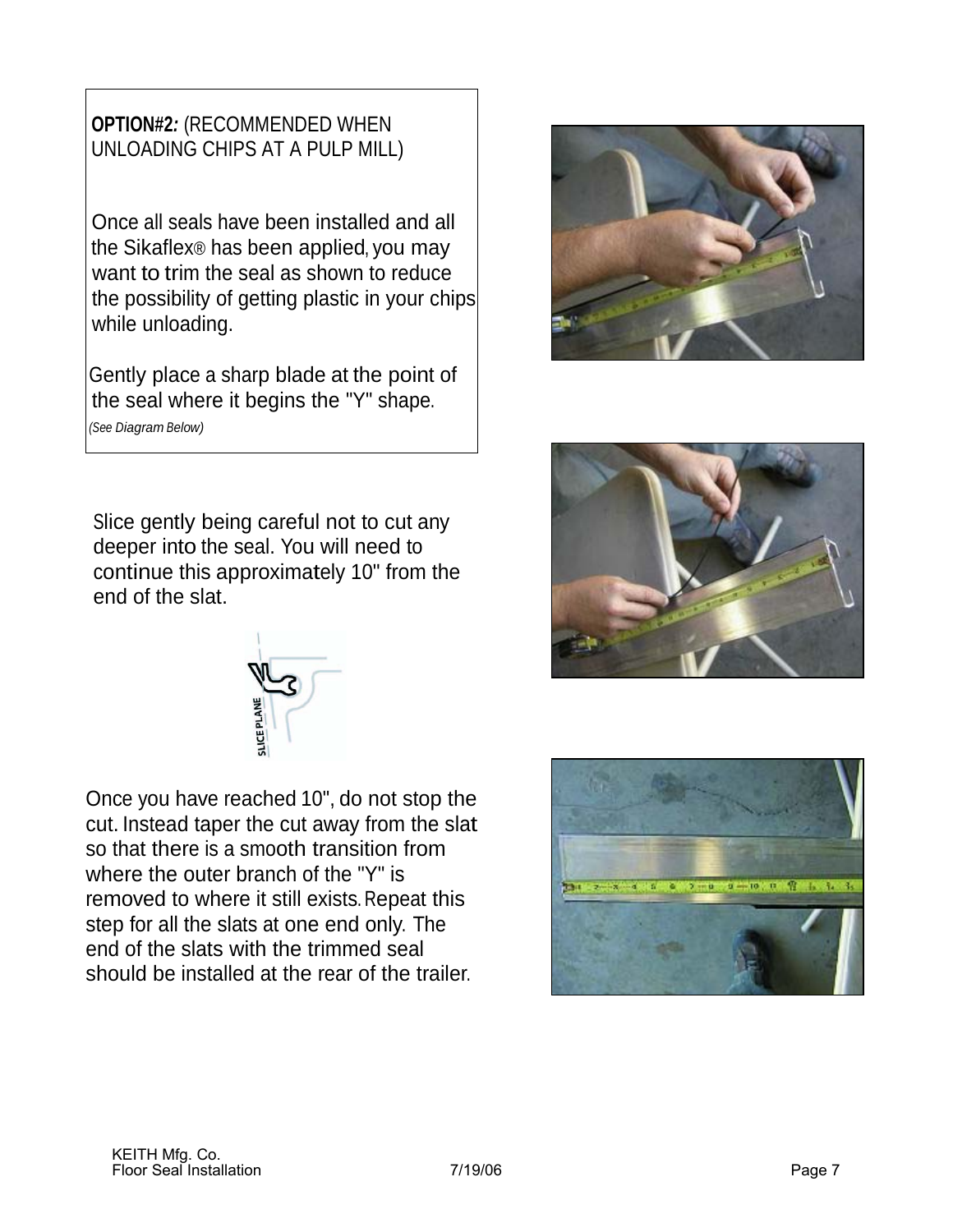### **OPTION#2***:* (RECOMMENDED WHEN UNLOADING CHIPS AT A PULP MILL)

 Once all seals have been installed and all the Sikaflex® has been applied, you may want to trim the seal as shown to reduce the possibility of getting plastic in your chips while unloading.

Gently place a sharp blade at the point of the seal where it begins the "Y" shape. *(See Diagram Below)*

Slice gently being careful not to cut any deeper into the seal. You will need to continue this approximately 10" from the end of the slat.

Once you have reached 10", do not stop the cut. Instead taper the cut away from the slat so that there is a smooth transition from where the outer branch of the "Y" is removed to where it still exists. Repeat this step for all the slats at one end only. The end of the slats with the trimmed seal should be installed at the rear of the trailer.







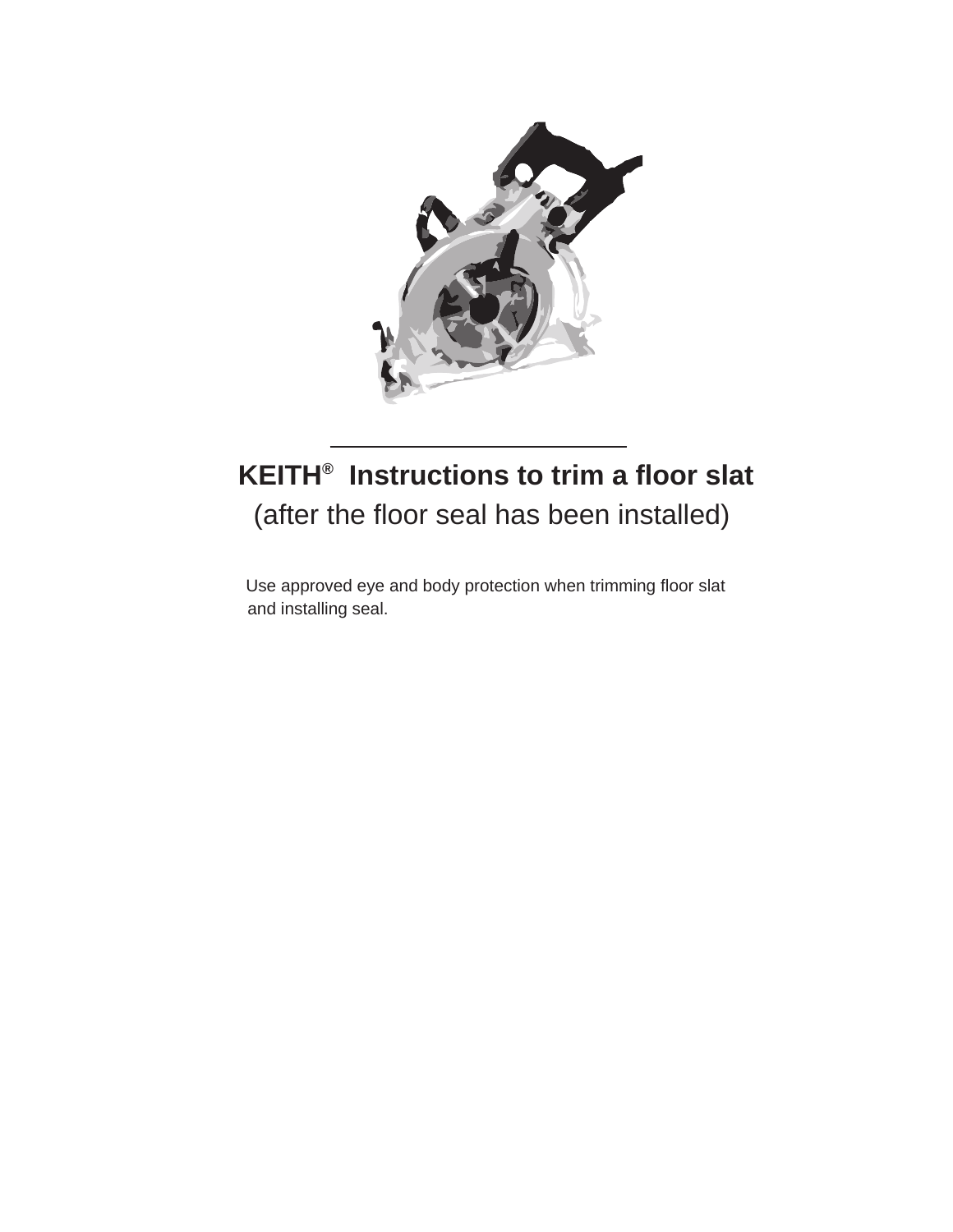

# **KEITH® Instructions to trim a floor slat** (after the floor seal has been installed)

Use approved eye and body protection when trimming floor slat and installing seal.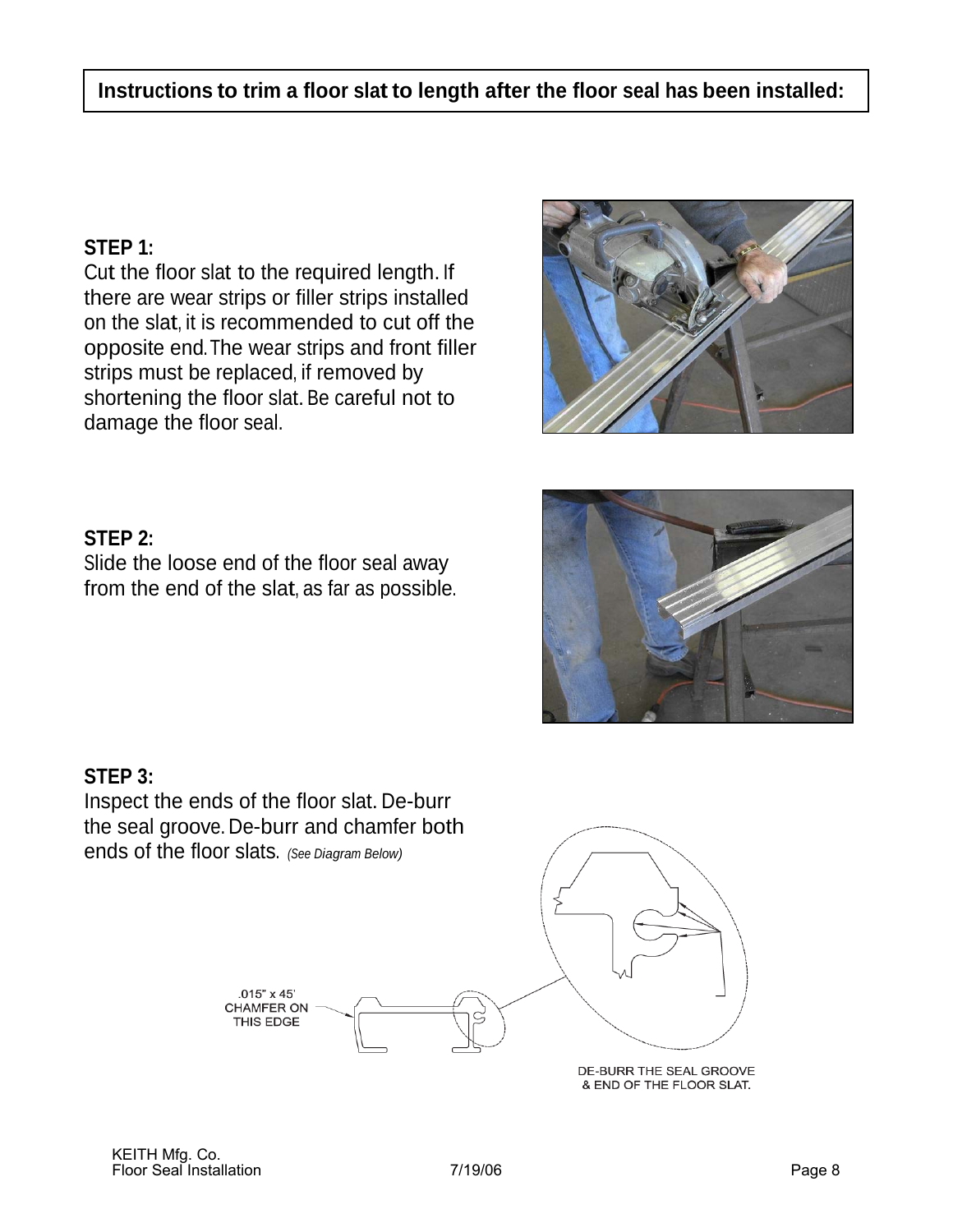### **STEP 1:**

Cut the floor slat to the required length. If there are wear strips or filler strips installed on the slat, it is recommended to cut off the opposite end. The wear strips and front filler strips must be replaced, if removed by shortening the floor slat. Be careful not to damage the floor seal.



### **STEP 2:**

Slide the loose end of the floor seal away from the end of the slat, as far as possible.



### **STEP 3:**

Inspect the ends of the floor slat. De-burr the seal groove. De-burr and chamfer both ends of the floor slats. *(See Diagram Below)*



DE-BURR THE SEAL GROOVE & END OF THE FLOOR SLAT.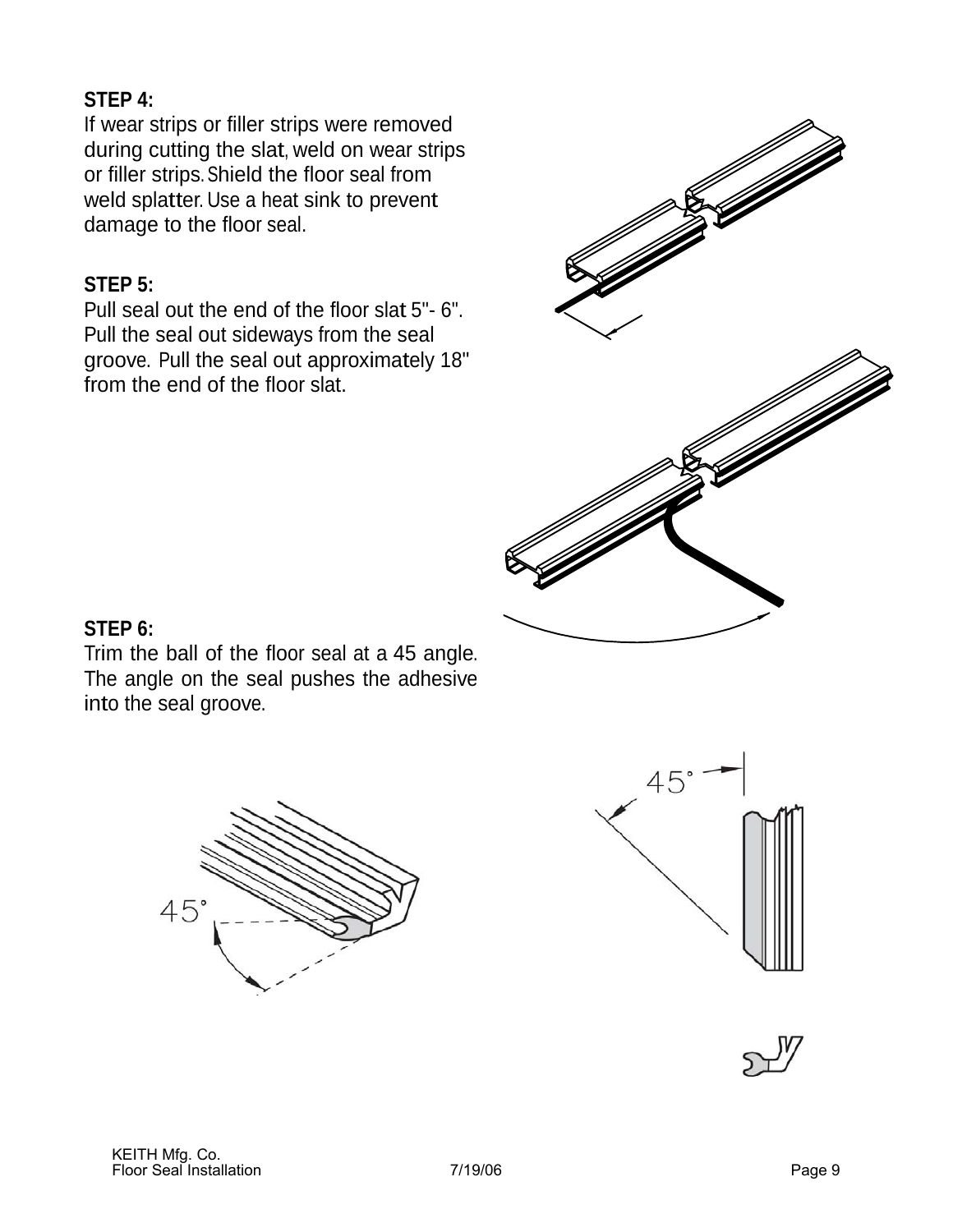### **STEP 4:**

If wear strips or filler strips were removed during cutting the slat, weld on wear strips or filler strips. Shield the floor seal from weld splatter. Use a heat sink to prevent damage to the floor seal.

### **STEP 5:**

Pull seal out the end of the floor slat 5"- 6". Pull the seal out sideways from the seal groove. Pull the seal out approximately 18" from the end of the floor slat.



### **STEP 6:**

Trim the ball of the floor seal at a 45 angle. The angle on the seal pushes the adhesive into the seal groove.





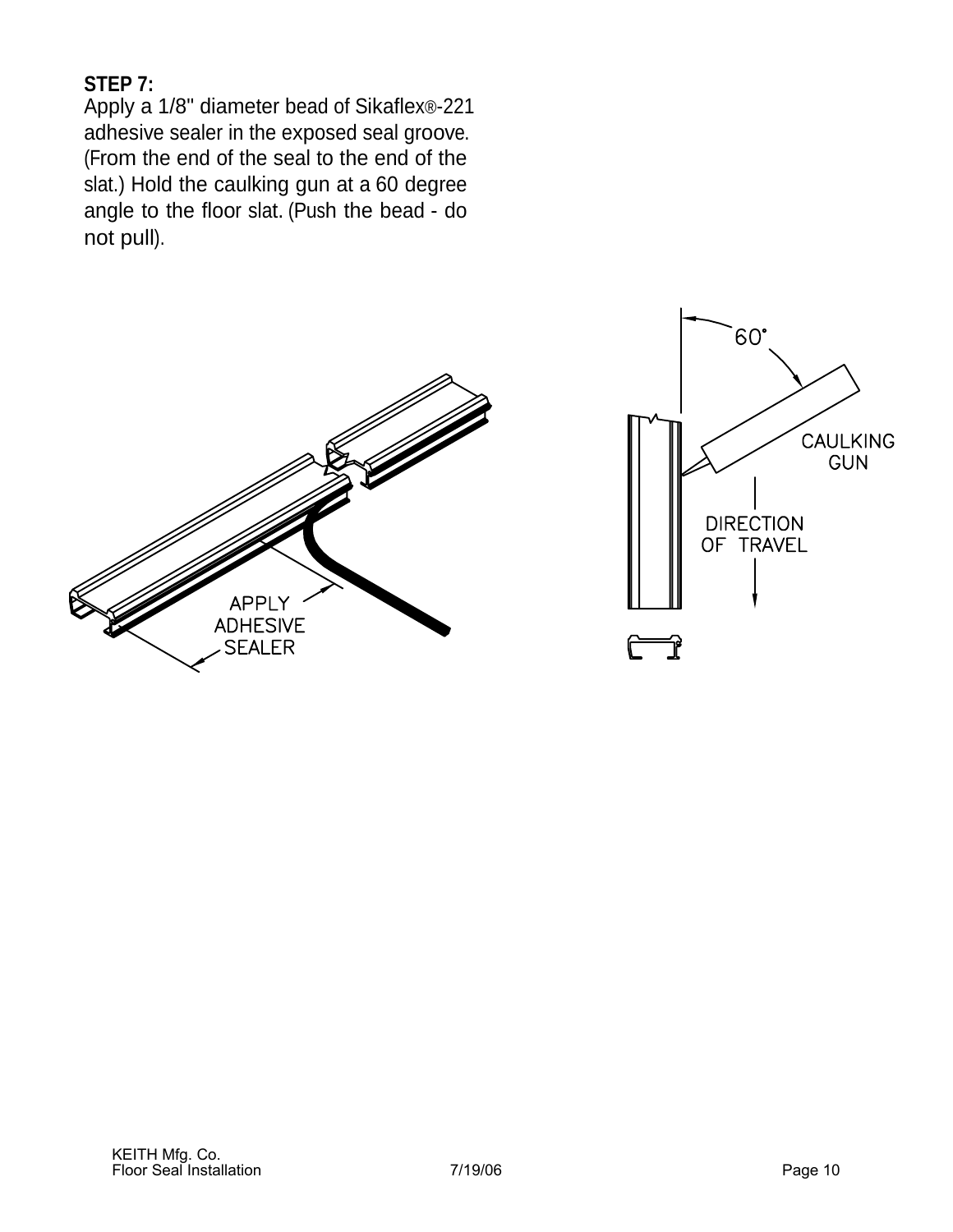### **STEP 7:**

Apply a 1/8" diameter bead of Sikaflex®-221 adhesive sealer in the exposed seal groove. (From the end of the seal to the end of the slat.) Hold the caulking gun at a 60 degree angle to the floor slat. (Push the bead - do not pull).



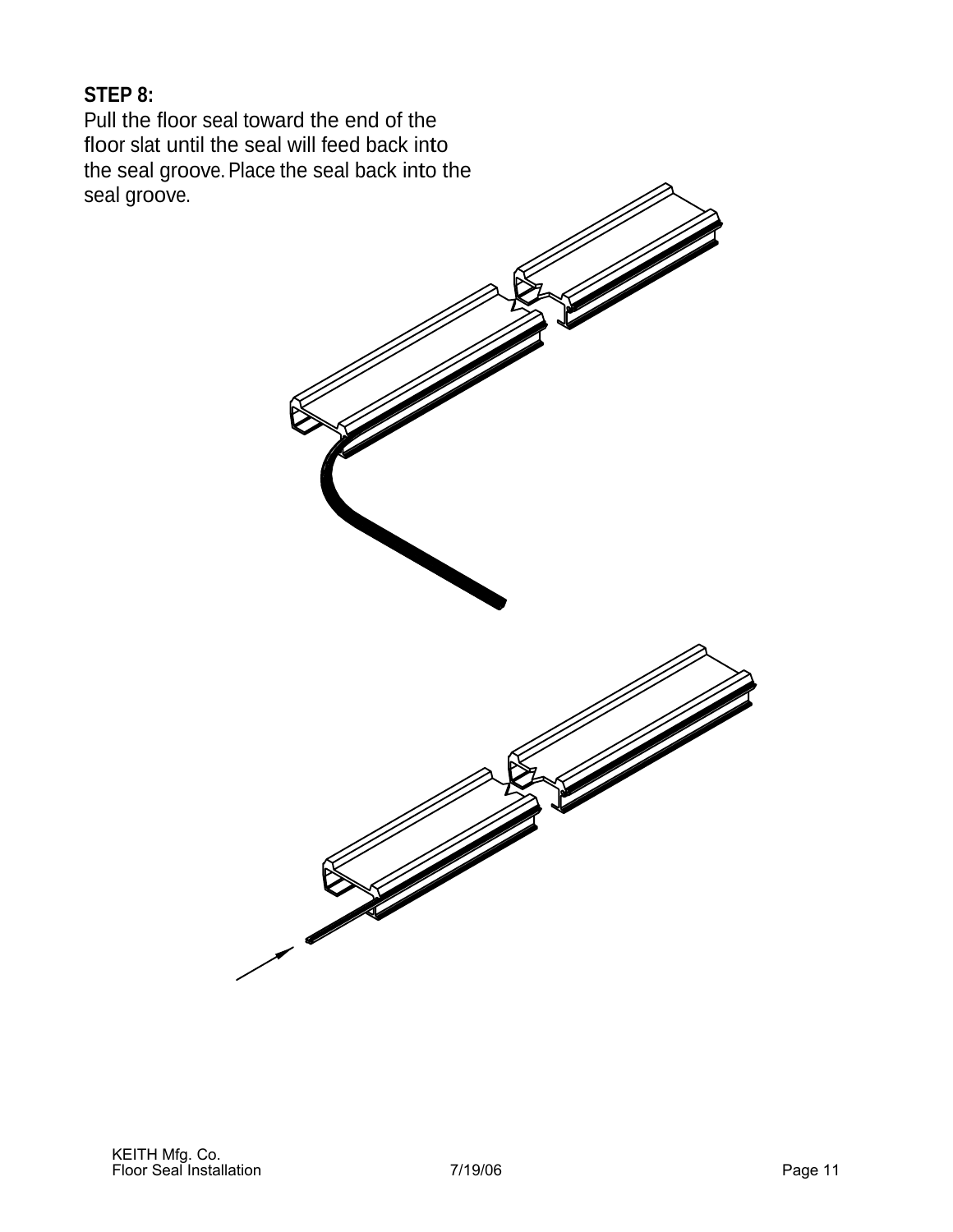### **STEP 8:**

Pull the floor seal toward the end of the floor slat until the seal will feed back into the seal groove. Place the seal back into the seal groove.